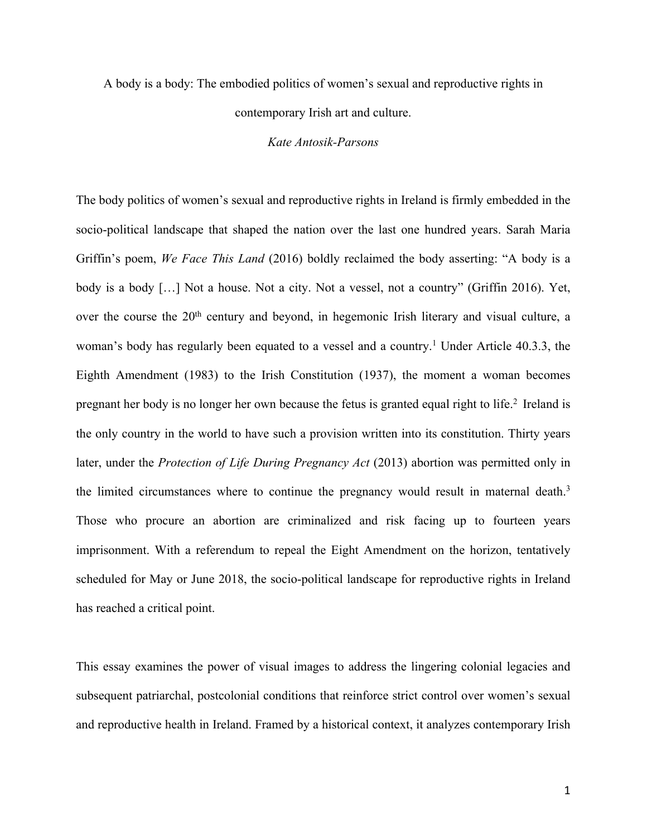A body is a body: The embodied politics of women's sexual and reproductive rights in contemporary Irish art and culture.

*Kate Antosik-Parsons*

The body politics of women's sexual and reproductive rights in Ireland is firmly embedded in the socio-political landscape that shaped the nation over the last one hundred years. Sarah Maria Griffin's poem, *We Face This Land* (2016) boldly reclaimed the body asserting: "A body is a body is a body [...] Not a house. Not a city. Not a vessel, not a country" (Griffin 2016). Yet, over the course the 20<sup>th</sup> century and beyond, in hegemonic Irish literary and visual culture, a woman's body has regularly been equated to a vessel and a country. <sup>1</sup> Under Article 40.3.3, the Eighth Amendment (1983) to the Irish Constitution (1937), the moment a woman becomes pregnant her body is no longer her own because the fetus is granted equal right to life. <sup>2</sup> Ireland is the only country in the world to have such a provision written into its constitution. Thirty years later, under the *Protection of Life During Pregnancy Act* (2013) abortion was permitted only in the limited circumstances where to continue the pregnancy would result in maternal death.<sup>3</sup> Those who procure an abortion are criminalized and risk facing up to fourteen years imprisonment. With a referendum to repeal the Eight Amendment on the horizon, tentatively scheduled for May or June 2018, the socio-political landscape for reproductive rights in Ireland has reached a critical point.

This essay examines the power of visual images to address the lingering colonial legacies and subsequent patriarchal, postcolonial conditions that reinforce strict control over women's sexual and reproductive health in Ireland. Framed by a historical context, it analyzes contemporary Irish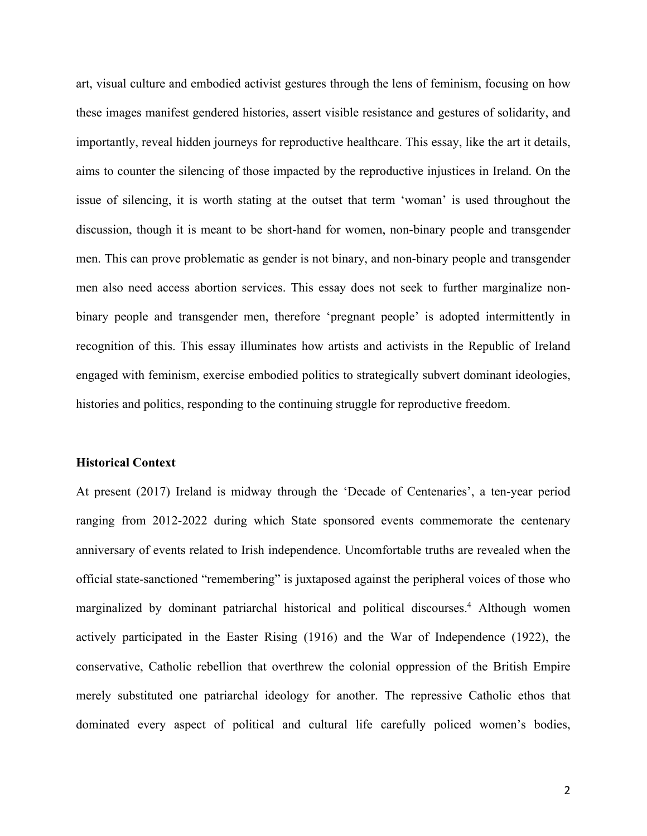art, visual culture and embodied activist gestures through the lens of feminism, focusing on how these images manifest gendered histories, assert visible resistance and gestures of solidarity, and importantly, reveal hidden journeys for reproductive healthcare. This essay, like the art it details, aims to counter the silencing of those impacted by the reproductive injustices in Ireland. On the issue of silencing, it is worth stating at the outset that term 'woman' is used throughout the discussion, though it is meant to be short-hand for women, non-binary people and transgender men. This can prove problematic as gender is not binary, and non-binary people and transgender men also need access abortion services. This essay does not seek to further marginalize nonbinary people and transgender men, therefore 'pregnant people' is adopted intermittently in recognition of this. This essay illuminates how artists and activists in the Republic of Ireland engaged with feminism, exercise embodied politics to strategically subvert dominant ideologies, histories and politics, responding to the continuing struggle for reproductive freedom.

### **Historical Context**

At present (2017) Ireland is midway through the 'Decade of Centenaries', a ten-year period ranging from 2012-2022 during which State sponsored events commemorate the centenary anniversary of events related to Irish independence. Uncomfortable truths are revealed when the official state-sanctioned "remembering" is juxtaposed against the peripheral voices of those who marginalized by dominant patriarchal historical and political discourses. <sup>4</sup> Although women actively participated in the Easter Rising (1916) and the War of Independence (1922), the conservative, Catholic rebellion that overthrew the colonial oppression of the British Empire merely substituted one patriarchal ideology for another. The repressive Catholic ethos that dominated every aspect of political and cultural life carefully policed women's bodies,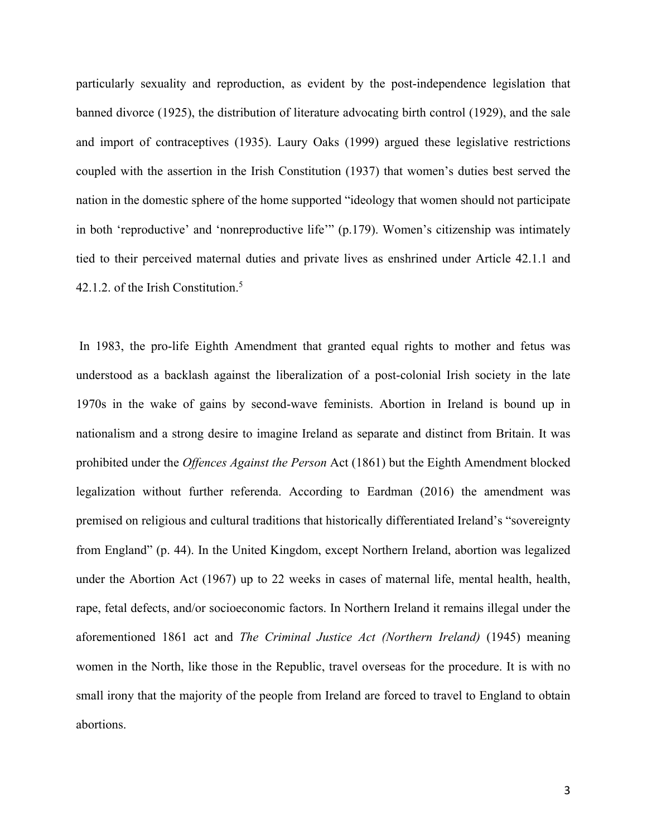particularly sexuality and reproduction, as evident by the post-independence legislation that banned divorce (1925), the distribution of literature advocating birth control (1929), and the sale and import of contraceptives (1935). Laury Oaks (1999) argued these legislative restrictions coupled with the assertion in the Irish Constitution (1937) that women's duties best served the nation in the domestic sphere of the home supported "ideology that women should not participate in both 'reproductive' and 'nonreproductive life'" (p.179). Women's citizenship was intimately tied to their perceived maternal duties and private lives as enshrined under Article 42.1.1 and 42.1.2. of the Irish Constitution.<sup>5</sup>

In 1983, the pro-life Eighth Amendment that granted equal rights to mother and fetus was understood as a backlash against the liberalization of a post-colonial Irish society in the late 1970s in the wake of gains by second-wave feminists. Abortion in Ireland is bound up in nationalism and a strong desire to imagine Ireland as separate and distinct from Britain. It was prohibited under the *Offences Against the Person* Act (1861) but the Eighth Amendment blocked legalization without further referenda. According to Eardman (2016) the amendment was premised on religious and cultural traditions that historically differentiated Ireland's "sovereignty from England" (p. 44). In the United Kingdom, except Northern Ireland, abortion was legalized under the Abortion Act (1967) up to 22 weeks in cases of maternal life, mental health, health, rape, fetal defects, and/or socioeconomic factors. In Northern Ireland it remains illegal under the aforementioned 1861 act and *The Criminal Justice Act (Northern Ireland)* (1945) meaning women in the North, like those in the Republic, travel overseas for the procedure. It is with no small irony that the majority of the people from Ireland are forced to travel to England to obtain abortions.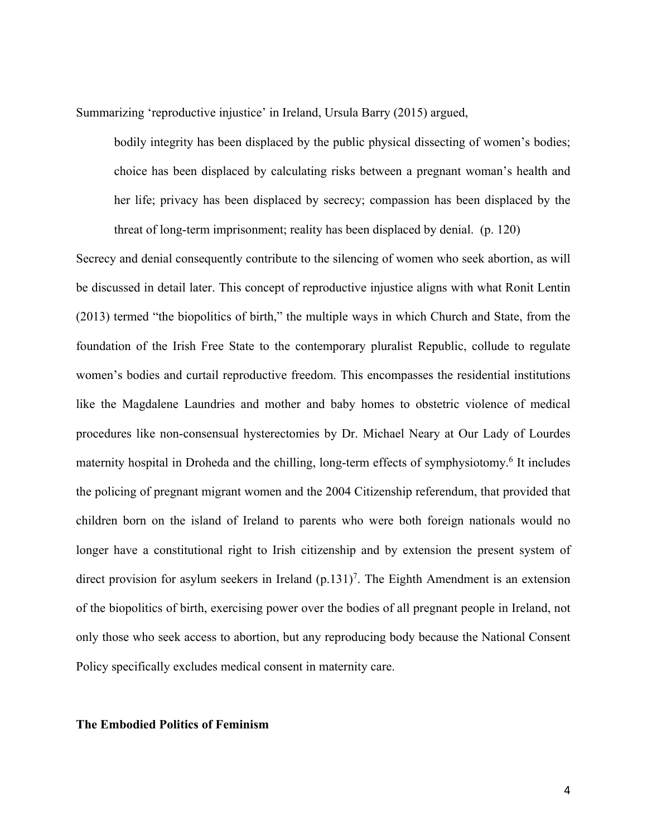Summarizing 'reproductive injustice' in Ireland, Ursula Barry (2015) argued,

bodily integrity has been displaced by the public physical dissecting of women's bodies; choice has been displaced by calculating risks between a pregnant woman's health and her life; privacy has been displaced by secrecy; compassion has been displaced by the threat of long-term imprisonment; reality has been displaced by denial. (p. 120)

Secrecy and denial consequently contribute to the silencing of women who seek abortion, as will be discussed in detail later. This concept of reproductive injustice aligns with what Ronit Lentin (2013) termed "the biopolitics of birth," the multiple ways in which Church and State, from the foundation of the Irish Free State to the contemporary pluralist Republic, collude to regulate women's bodies and curtail reproductive freedom. This encompasses the residential institutions like the Magdalene Laundries and mother and baby homes to obstetric violence of medical procedures like non-consensual hysterectomies by Dr. Michael Neary at Our Lady of Lourdes maternity hospital in Droheda and the chilling, long-term effects of symphysiotomy. <sup>6</sup> It includes the policing of pregnant migrant women and the 2004 Citizenship referendum, that provided that children born on the island of Ireland to parents who were both foreign nationals would no longer have a constitutional right to Irish citizenship and by extension the present system of direct provision for asylum seekers in Ireland  $(p.131)^7$ . The Eighth Amendment is an extension of the biopolitics of birth, exercising power over the bodies of all pregnant people in Ireland, not only those who seek access to abortion, but any reproducing body because the National Consent Policy specifically excludes medical consent in maternity care.

## **The Embodied Politics of Feminism**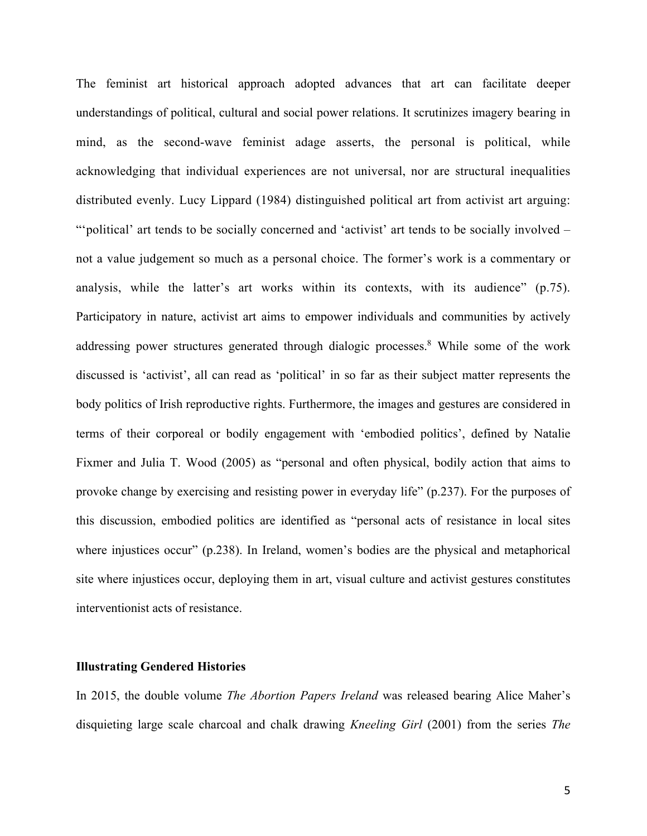### **Pre-Print Version**

### **Antosik-Parsons, Kate "A Body is a body: The Embodied politics of women's sexual and reproductive rights in contemporary Irish art and culture." in Reproductive Justice and Sexual Rights: Transnational Perspectives ed. Tanya Bahkru, New York: Routledge, 2019.**

The feminist art historical approach adopted advances that art can facilitate deeper understandings of political, cultural and social power relations. It scrutinizes imagery bearing in mind, as the second-wave feminist adage asserts, the personal is political, while acknowledging that individual experiences are not universal, nor are structural inequalities distributed evenly. Lucy Lippard (1984) distinguished political art from activist art arguing: "'political' art tends to be socially concerned and 'activist' art tends to be socially involved – not a value judgement so much as a personal choice. The former's work is a commentary or analysis, while the latter's art works within its contexts, with its audience" (p.75). Participatory in nature, activist art aims to empower individuals and communities by actively addressing power structures generated through dialogic processes.8 While some of the work discussed is 'activist', all can read as 'political' in so far as their subject matter represents the body politics of Irish reproductive rights. Furthermore, the images and gestures are considered in terms of their corporeal or bodily engagement with 'embodied politics', defined by Natalie Fixmer and Julia T. Wood (2005) as "personal and often physical, bodily action that aims to provoke change by exercising and resisting power in everyday life" (p.237). For the purposes of this discussion, embodied politics are identified as "personal acts of resistance in local sites where injustices occur" (p.238). In Ireland, women's bodies are the physical and metaphorical site where injustices occur, deploying them in art, visual culture and activist gestures constitutes interventionist acts of resistance.

## **Illustrating Gendered Histories**

In 2015, the double volume *The Abortion Papers Ireland* was released bearing Alice Maher's disquieting large scale charcoal and chalk drawing *Kneeling Girl* (2001) from the series *The*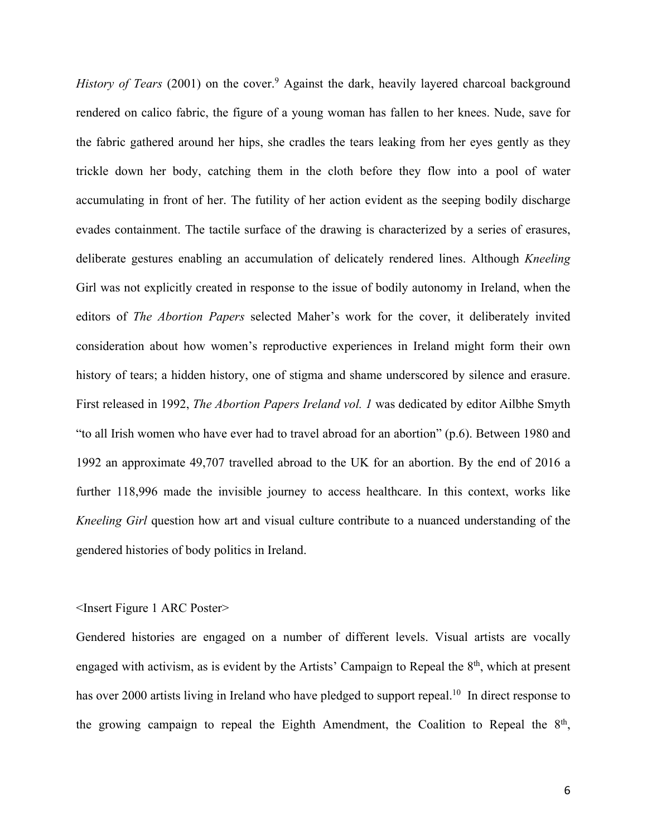History of Tears (2001) on the cover.<sup>9</sup> Against the dark, heavily layered charcoal background rendered on calico fabric, the figure of a young woman has fallen to her knees. Nude, save for the fabric gathered around her hips, she cradles the tears leaking from her eyes gently as they trickle down her body, catching them in the cloth before they flow into a pool of water accumulating in front of her. The futility of her action evident as the seeping bodily discharge evades containment. The tactile surface of the drawing is characterized by a series of erasures, deliberate gestures enabling an accumulation of delicately rendered lines. Although *Kneeling*  Girl was not explicitly created in response to the issue of bodily autonomy in Ireland, when the editors of *The Abortion Papers* selected Maher's work for the cover, it deliberately invited consideration about how women's reproductive experiences in Ireland might form their own history of tears; a hidden history, one of stigma and shame underscored by silence and erasure. First released in 1992, *The Abortion Papers Ireland vol. 1* was dedicated by editor Ailbhe Smyth "to all Irish women who have ever had to travel abroad for an abortion" (p.6). Between 1980 and 1992 an approximate 49,707 travelled abroad to the UK for an abortion. By the end of 2016 a further 118,996 made the invisible journey to access healthcare. In this context, works like *Kneeling Girl* question how art and visual culture contribute to a nuanced understanding of the gendered histories of body politics in Ireland.

### <Insert Figure 1 ARC Poster>

Gendered histories are engaged on a number of different levels. Visual artists are vocally engaged with activism, as is evident by the Artists' Campaign to Repeal the  $8<sup>th</sup>$ , which at present has over 2000 artists living in Ireland who have pledged to support repeal.<sup>10</sup> In direct response to the growing campaign to repeal the Eighth Amendment, the Coalition to Repeal the 8<sup>th</sup>,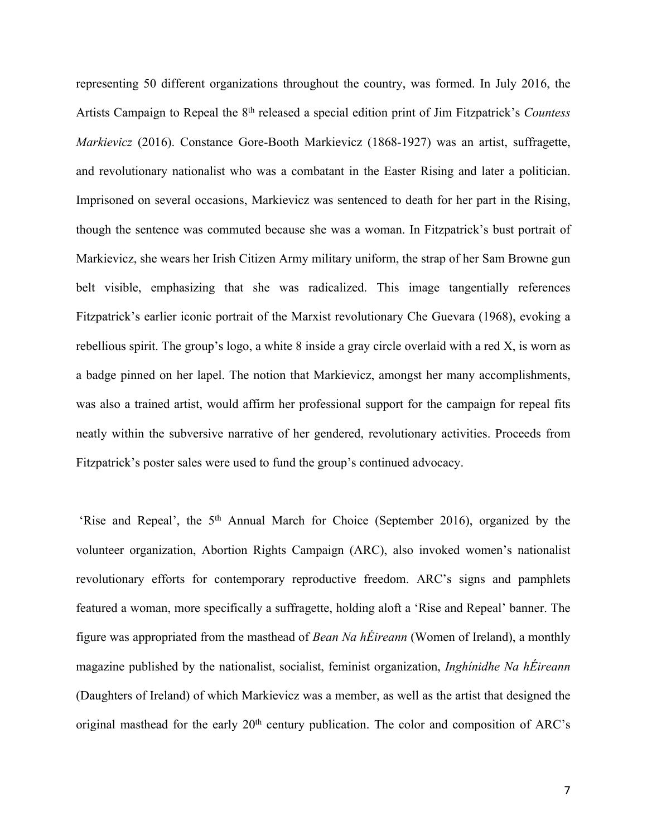representing 50 different organizations throughout the country, was formed. In July 2016, the Artists Campaign to Repeal the 8th released a special edition print of Jim Fitzpatrick's *Countess Markievicz* (2016). Constance Gore-Booth Markievicz (1868-1927) was an artist, suffragette, and revolutionary nationalist who was a combatant in the Easter Rising and later a politician. Imprisoned on several occasions, Markievicz was sentenced to death for her part in the Rising, though the sentence was commuted because she was a woman. In Fitzpatrick's bust portrait of Markievicz, she wears her Irish Citizen Army military uniform, the strap of her Sam Browne gun belt visible, emphasizing that she was radicalized. This image tangentially references Fitzpatrick's earlier iconic portrait of the Marxist revolutionary Che Guevara (1968), evoking a rebellious spirit. The group's logo, a white 8 inside a gray circle overlaid with a red X, is worn as a badge pinned on her lapel. The notion that Markievicz, amongst her many accomplishments, was also a trained artist, would affirm her professional support for the campaign for repeal fits neatly within the subversive narrative of her gendered, revolutionary activities. Proceeds from Fitzpatrick's poster sales were used to fund the group's continued advocacy.

'Rise and Repeal', the 5<sup>th</sup> Annual March for Choice (September 2016), organized by the volunteer organization, Abortion Rights Campaign (ARC), also invoked women's nationalist revolutionary efforts for contemporary reproductive freedom. ARC's signs and pamphlets featured a woman, more specifically a suffragette, holding aloft a 'Rise and Repeal' banner. The figure was appropriated from the masthead of *Bean Na hÉireann* (Women of Ireland), a monthly magazine published by the nationalist, socialist, feminist organization, *Inghínidhe Na hÉireann* (Daughters of Ireland) of which Markievicz was a member, as well as the artist that designed the original masthead for the early 20<sup>th</sup> century publication. The color and composition of ARC's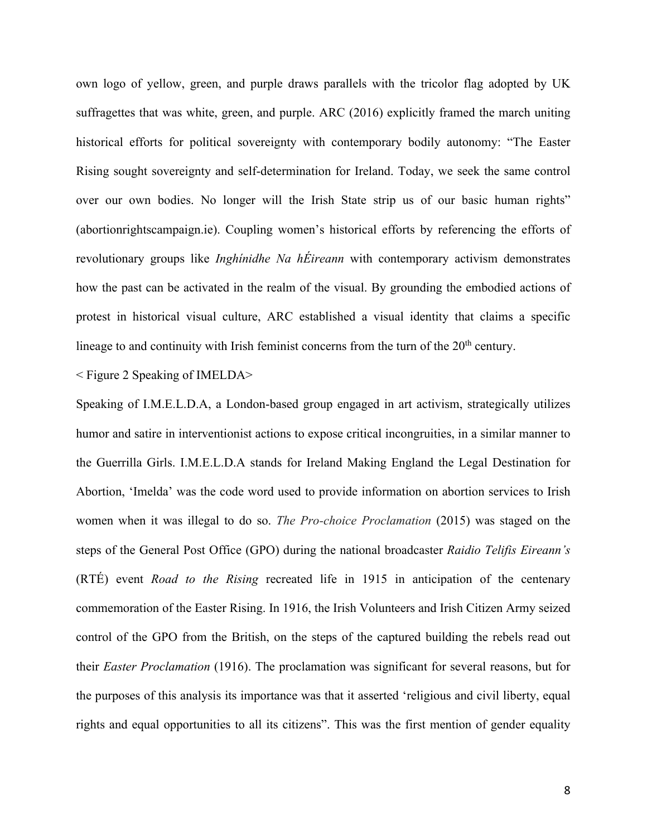own logo of yellow, green, and purple draws parallels with the tricolor flag adopted by UK suffragettes that was white, green, and purple. ARC (2016) explicitly framed the march uniting historical efforts for political sovereignty with contemporary bodily autonomy: "The Easter Rising sought sovereignty and self-determination for Ireland. Today, we seek the same control over our own bodies. No longer will the Irish State strip us of our basic human rights" (abortionrightscampaign.ie). Coupling women's historical efforts by referencing the efforts of revolutionary groups like *Inghínidhe Na hÉireann* with contemporary activism demonstrates how the past can be activated in the realm of the visual. By grounding the embodied actions of protest in historical visual culture, ARC established a visual identity that claims a specific lineage to and continuity with Irish feminist concerns from the turn of the  $20<sup>th</sup>$  century.

< Figure 2 Speaking of IMELDA>

Speaking of I.M.E.L.D.A, a London-based group engaged in art activism, strategically utilizes humor and satire in interventionist actions to expose critical incongruities, in a similar manner to the Guerrilla Girls. I.M.E.L.D.A stands for Ireland Making England the Legal Destination for Abortion, 'Imelda' was the code word used to provide information on abortion services to Irish women when it was illegal to do so. *The Pro-choice Proclamation* (2015) was staged on the steps of the General Post Office (GPO) during the national broadcaster *Raidio Telifis Eireann's* (RTÉ) event *Road to the Rising* recreated life in 1915 in anticipation of the centenary commemoration of the Easter Rising. In 1916, the Irish Volunteers and Irish Citizen Army seized control of the GPO from the British, on the steps of the captured building the rebels read out their *Easter Proclamation* (1916). The proclamation was significant for several reasons, but for the purposes of this analysis its importance was that it asserted 'religious and civil liberty, equal rights and equal opportunities to all its citizens". This was the first mention of gender equality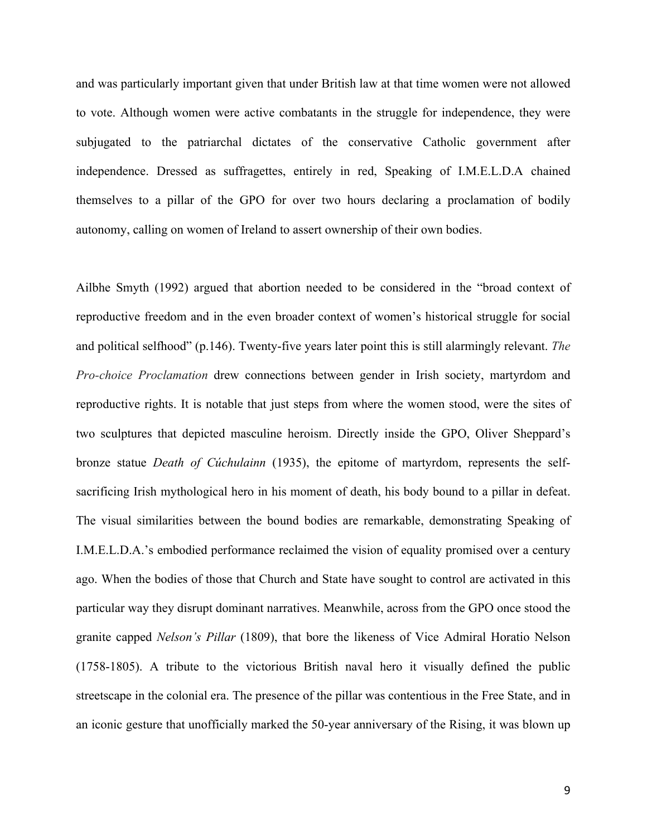and was particularly important given that under British law at that time women were not allowed to vote. Although women were active combatants in the struggle for independence, they were subjugated to the patriarchal dictates of the conservative Catholic government after independence. Dressed as suffragettes, entirely in red, Speaking of I.M.E.L.D.A chained themselves to a pillar of the GPO for over two hours declaring a proclamation of bodily autonomy, calling on women of Ireland to assert ownership of their own bodies.

Ailbhe Smyth (1992) argued that abortion needed to be considered in the "broad context of reproductive freedom and in the even broader context of women's historical struggle for social and political selfhood" (p.146). Twenty-five years later point this is still alarmingly relevant. *The Pro-choice Proclamation* drew connections between gender in Irish society, martyrdom and reproductive rights. It is notable that just steps from where the women stood, were the sites of two sculptures that depicted masculine heroism. Directly inside the GPO, Oliver Sheppard's bronze statue *Death of Cúchulainn* (1935), the epitome of martyrdom, represents the selfsacrificing Irish mythological hero in his moment of death, his body bound to a pillar in defeat. The visual similarities between the bound bodies are remarkable, demonstrating Speaking of I.M.E.L.D.A.'s embodied performance reclaimed the vision of equality promised over a century ago. When the bodies of those that Church and State have sought to control are activated in this particular way they disrupt dominant narratives. Meanwhile, across from the GPO once stood the granite capped *Nelson's Pillar* (1809), that bore the likeness of Vice Admiral Horatio Nelson (1758-1805). A tribute to the victorious British naval hero it visually defined the public streetscape in the colonial era. The presence of the pillar was contentious in the Free State, and in an iconic gesture that unofficially marked the 50-year anniversary of the Rising, it was blown up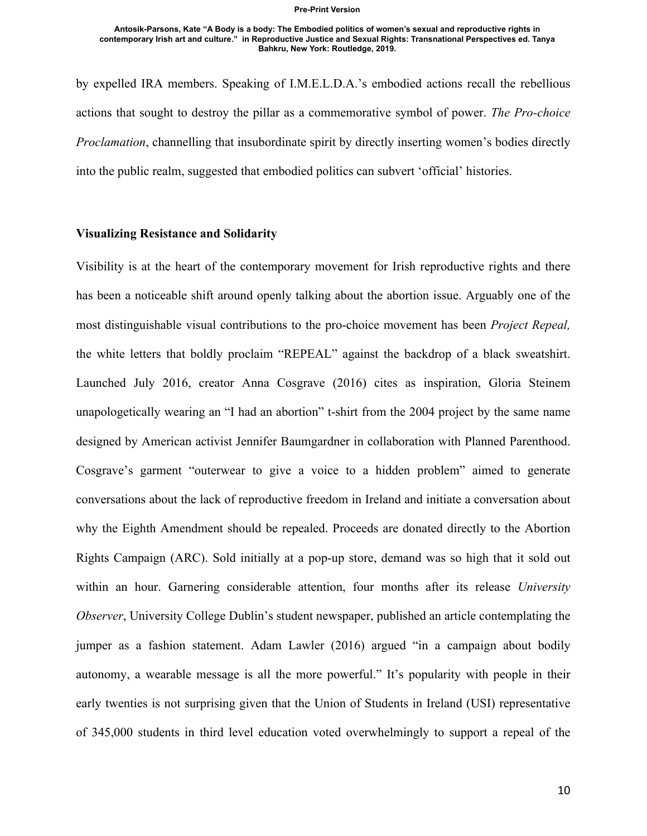by expelled IRA members. Speaking of I.M.E.L.D.A.'s embodied actions recall the rebellious actions that sought to destroy the pillar as a commemorative symbol of power. *The Pro-choice Proclamation*, channelling that insubordinate spirit by directly inserting women's bodies directly into the public realm, suggested that embodied politics can subvert 'official' histories.

### **Visualizing Resistance and Solidarity**

Visibility is at the heart of the contemporary movement for Irish reproductive rights and there has been a noticeable shift around openly talking about the abortion issue. Arguably one of the most distinguishable visual contributions to the pro-choice movement has been *Project Repeal,*  the white letters that boldly proclaim "REPEAL" against the backdrop of a black sweatshirt. Launched July 2016, creator Anna Cosgrave (2016) cites as inspiration, Gloria Steinem unapologetically wearing an "I had an abortion" t-shirt from the 2004 project by the same name designed by American activist Jennifer Baumgardner in collaboration with Planned Parenthood. Cosgrave's garment "outerwear to give a voice to a hidden problem" aimed to generate conversations about the lack of reproductive freedom in Ireland and initiate a conversation about why the Eighth Amendment should be repealed. Proceeds are donated directly to the Abortion Rights Campaign (ARC). Sold initially at a pop-up store, demand was so high that it sold out within an hour. Garnering considerable attention, four months after its release *University Observer*, University College Dublin's student newspaper, published an article contemplating the jumper as a fashion statement. Adam Lawler (2016) argued "in a campaign about bodily autonomy, a wearable message is all the more powerful." It's popularity with people in their early twenties is not surprising given that the Union of Students in Ireland (USI) representative of 345,000 students in third level education voted overwhelmingly to support a repeal of the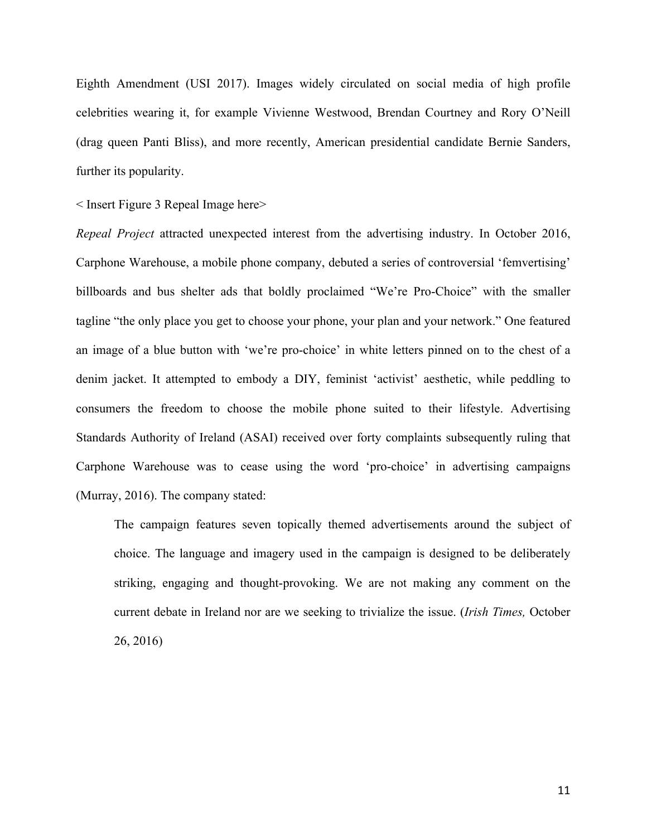Eighth Amendment (USI 2017). Images widely circulated on social media of high profile celebrities wearing it, for example Vivienne Westwood, Brendan Courtney and Rory O'Neill (drag queen Panti Bliss), and more recently, American presidential candidate Bernie Sanders, further its popularity.

< Insert Figure 3 Repeal Image here>

*Repeal Project* attracted unexpected interest from the advertising industry. In October 2016, Carphone Warehouse, a mobile phone company, debuted a series of controversial 'femvertising' billboards and bus shelter ads that boldly proclaimed "We're Pro-Choice" with the smaller tagline "the only place you get to choose your phone, your plan and your network." One featured an image of a blue button with 'we're pro-choice' in white letters pinned on to the chest of a denim jacket. It attempted to embody a DIY, feminist 'activist' aesthetic, while peddling to consumers the freedom to choose the mobile phone suited to their lifestyle. Advertising Standards Authority of Ireland (ASAI) received over forty complaints subsequently ruling that Carphone Warehouse was to cease using the word 'pro-choice' in advertising campaigns (Murray, 2016). The company stated:

The campaign features seven topically themed advertisements around the subject of choice. The language and imagery used in the campaign is designed to be deliberately striking, engaging and thought-provoking. We are not making any comment on the current debate in Ireland nor are we seeking to trivialize the issue. (*Irish Times,* October 26, 2016)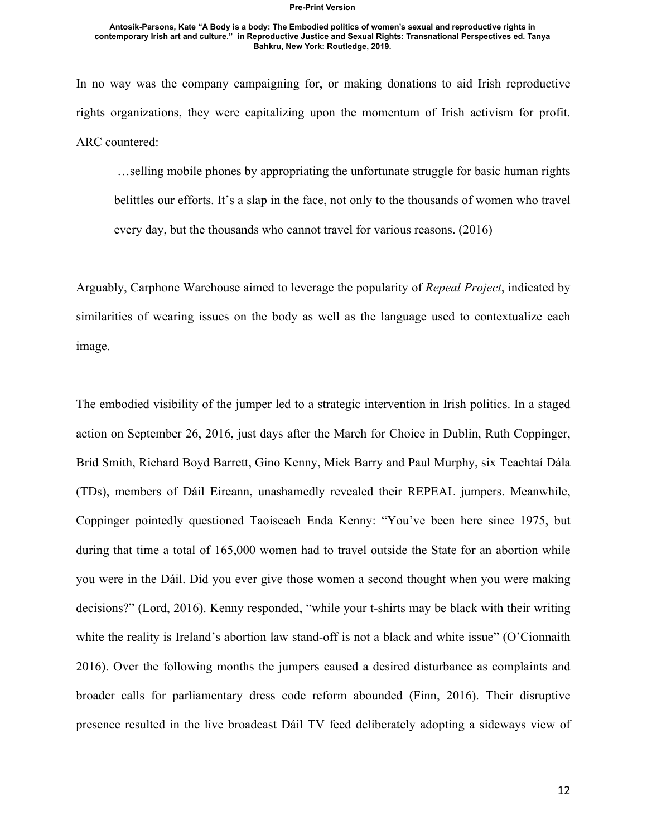#### **Pre-Print Version**

In no way was the company campaigning for, or making donations to aid Irish reproductive rights organizations, they were capitalizing upon the momentum of Irish activism for profit. ARC countered:

…selling mobile phones by appropriating the unfortunate struggle for basic human rights belittles our efforts. It's a slap in the face, not only to the thousands of women who travel every day, but the thousands who cannot travel for various reasons. (2016)

Arguably, Carphone Warehouse aimed to leverage the popularity of *Repeal Project*, indicated by similarities of wearing issues on the body as well as the language used to contextualize each image.

The embodied visibility of the jumper led to a strategic intervention in Irish politics. In a staged action on September 26, 2016, just days after the March for Choice in Dublin, Ruth Coppinger, Bríd Smith, Richard Boyd Barrett, Gino Kenny, Mick Barry and Paul Murphy, six Teachtaí Dála (TDs), members of Dáil Eireann, unashamedly revealed their REPEAL jumpers. Meanwhile, Coppinger pointedly questioned Taoiseach Enda Kenny: "You've been here since 1975, but during that time a total of 165,000 women had to travel outside the State for an abortion while you were in the Dáil. Did you ever give those women a second thought when you were making decisions?" (Lord, 2016). Kenny responded, "while your t-shirts may be black with their writing white the reality is Ireland's abortion law stand-off is not a black and white issue" (O'Cionnaith 2016). Over the following months the jumpers caused a desired disturbance as complaints and broader calls for parliamentary dress code reform abounded (Finn, 2016). Their disruptive presence resulted in the live broadcast Dáil TV feed deliberately adopting a sideways view of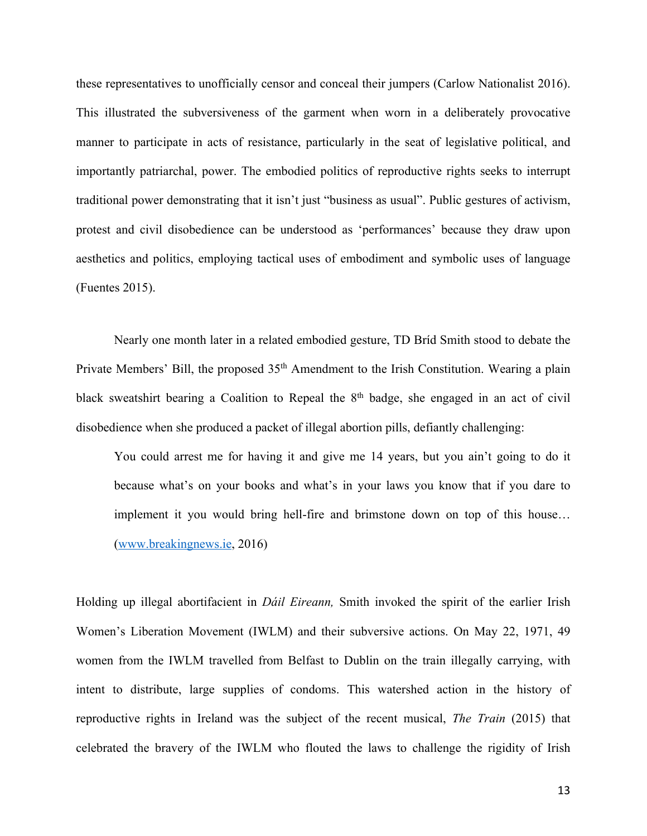these representatives to unofficially censor and conceal their jumpers (Carlow Nationalist 2016). This illustrated the subversiveness of the garment when worn in a deliberately provocative manner to participate in acts of resistance, particularly in the seat of legislative political, and importantly patriarchal, power. The embodied politics of reproductive rights seeks to interrupt traditional power demonstrating that it isn't just "business as usual". Public gestures of activism, protest and civil disobedience can be understood as 'performances' because they draw upon aesthetics and politics, employing tactical uses of embodiment and symbolic uses of language (Fuentes 2015).

Nearly one month later in a related embodied gesture, TD Bríd Smith stood to debate the Private Members' Bill, the proposed 35<sup>th</sup> Amendment to the Irish Constitution. Wearing a plain black sweatshirt bearing a Coalition to Repeal the  $8<sup>th</sup>$  badge, she engaged in an act of civil disobedience when she produced a packet of illegal abortion pills, defiantly challenging:

You could arrest me for having it and give me 14 years, but you ain't going to do it because what's on your books and what's in your laws you know that if you dare to implement it you would bring hell-fire and brimstone down on top of this house… (www.breakingnews.ie, 2016)

Holding up illegal abortifacient in *Dáil Eireann,* Smith invoked the spirit of the earlier Irish Women's Liberation Movement (IWLM) and their subversive actions. On May 22, 1971, 49 women from the IWLM travelled from Belfast to Dublin on the train illegally carrying, with intent to distribute, large supplies of condoms. This watershed action in the history of reproductive rights in Ireland was the subject of the recent musical, *The Train* (2015) that celebrated the bravery of the IWLM who flouted the laws to challenge the rigidity of Irish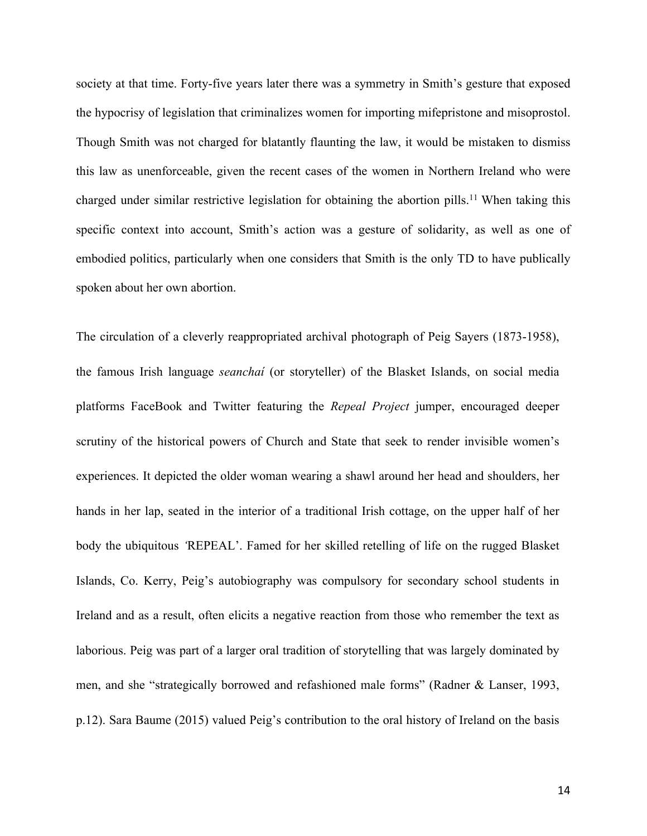society at that time. Forty-five years later there was a symmetry in Smith's gesture that exposed the hypocrisy of legislation that criminalizes women for importing mifepristone and misoprostol. Though Smith was not charged for blatantly flaunting the law, it would be mistaken to dismiss this law as unenforceable, given the recent cases of the women in Northern Ireland who were charged under similar restrictive legislation for obtaining the abortion pills.<sup>11</sup> When taking this specific context into account, Smith's action was a gesture of solidarity, as well as one of embodied politics, particularly when one considers that Smith is the only TD to have publically spoken about her own abortion.

The circulation of a cleverly reappropriated archival photograph of Peig Sayers (1873-1958), the famous Irish language *seanchaí* (or storyteller) of the Blasket Islands, on social media platforms FaceBook and Twitter featuring the *Repeal Project* jumper, encouraged deeper scrutiny of the historical powers of Church and State that seek to render invisible women's experiences. It depicted the older woman wearing a shawl around her head and shoulders, her hands in her lap, seated in the interior of a traditional Irish cottage, on the upper half of her body the ubiquitous *'*REPEAL'. Famed for her skilled retelling of life on the rugged Blasket Islands, Co. Kerry, Peig's autobiography was compulsory for secondary school students in Ireland and as a result, often elicits a negative reaction from those who remember the text as laborious. Peig was part of a larger oral tradition of storytelling that was largely dominated by men, and she "strategically borrowed and refashioned male forms" (Radner & Lanser, 1993, p.12). Sara Baume (2015) valued Peig's contribution to the oral history of Ireland on the basis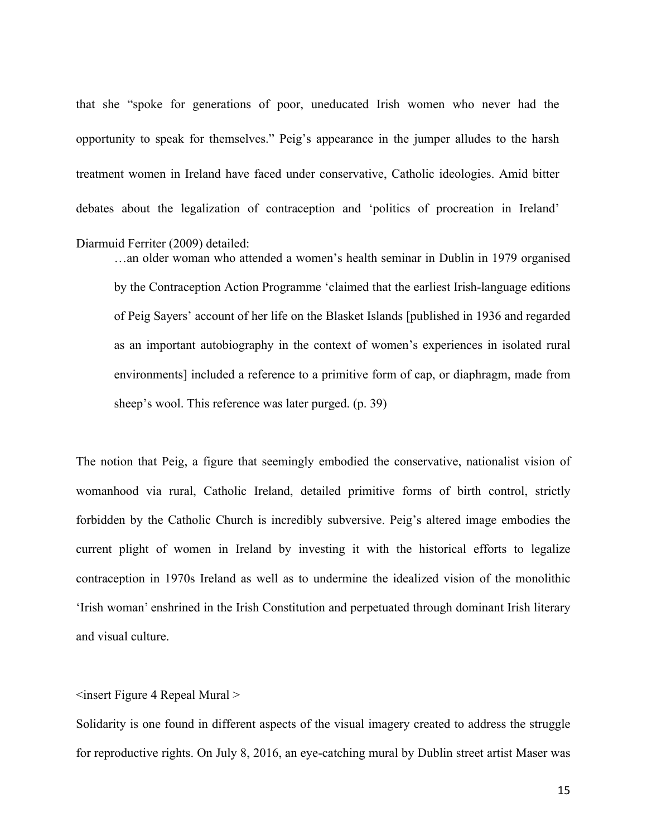that she "spoke for generations of poor, uneducated Irish women who never had the opportunity to speak for themselves." Peig's appearance in the jumper alludes to the harsh treatment women in Ireland have faced under conservative, Catholic ideologies. Amid bitter debates about the legalization of contraception and 'politics of procreation in Ireland'

Diarmuid Ferriter (2009) detailed:

…an older woman who attended a women's health seminar in Dublin in 1979 organised by the Contraception Action Programme 'claimed that the earliest Irish-language editions of Peig Sayers' account of her life on the Blasket Islands [published in 1936 and regarded as an important autobiography in the context of women's experiences in isolated rural environments] included a reference to a primitive form of cap, or diaphragm, made from sheep's wool. This reference was later purged. (p. 39)

The notion that Peig, a figure that seemingly embodied the conservative, nationalist vision of womanhood via rural, Catholic Ireland, detailed primitive forms of birth control, strictly forbidden by the Catholic Church is incredibly subversive. Peig's altered image embodies the current plight of women in Ireland by investing it with the historical efforts to legalize contraception in 1970s Ireland as well as to undermine the idealized vision of the monolithic 'Irish woman' enshrined in the Irish Constitution and perpetuated through dominant Irish literary and visual culture.

# <insert Figure 4 Repeal Mural >

Solidarity is one found in different aspects of the visual imagery created to address the struggle for reproductive rights. On July 8, 2016, an eye-catching mural by Dublin street artist Maser was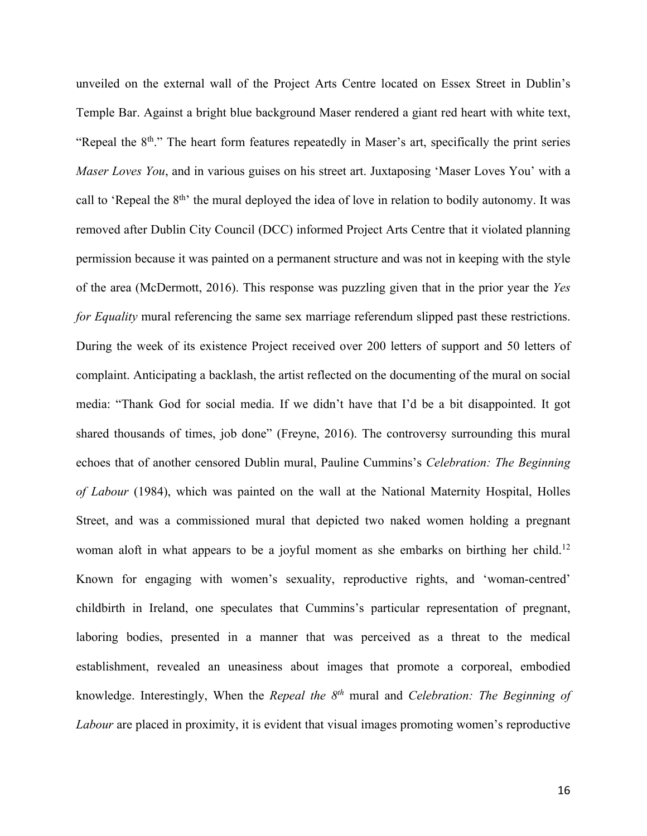unveiled on the external wall of the Project Arts Centre located on Essex Street in Dublin's Temple Bar. Against a bright blue background Maser rendered a giant red heart with white text, "Repeal the  $8<sup>th</sup>$ ." The heart form features repeatedly in Maser's art, specifically the print series *Maser Loves You*, and in various guises on his street art. Juxtaposing 'Maser Loves You' with a call to 'Repeal the 8<sup>th</sup>' the mural deployed the idea of love in relation to bodily autonomy. It was removed after Dublin City Council (DCC) informed Project Arts Centre that it violated planning permission because it was painted on a permanent structure and was not in keeping with the style of the area (McDermott, 2016). This response was puzzling given that in the prior year the *Yes for Equality* mural referencing the same sex marriage referendum slipped past these restrictions. During the week of its existence Project received over 200 letters of support and 50 letters of complaint. Anticipating a backlash, the artist reflected on the documenting of the mural on social media: "Thank God for social media. If we didn't have that I'd be a bit disappointed. It got shared thousands of times, job done" (Freyne, 2016). The controversy surrounding this mural echoes that of another censored Dublin mural, Pauline Cummins's *Celebration: The Beginning of Labour* (1984), which was painted on the wall at the National Maternity Hospital, Holles Street, and was a commissioned mural that depicted two naked women holding a pregnant woman aloft in what appears to be a joyful moment as she embarks on birthing her child.<sup>12</sup> Known for engaging with women's sexuality, reproductive rights, and 'woman-centred' childbirth in Ireland, one speculates that Cummins's particular representation of pregnant, laboring bodies, presented in a manner that was perceived as a threat to the medical establishment, revealed an uneasiness about images that promote a corporeal, embodied knowledge. Interestingly, When the *Repeal the 8th* mural and *Celebration: The Beginning of Labour* are placed in proximity, it is evident that visual images promoting women's reproductive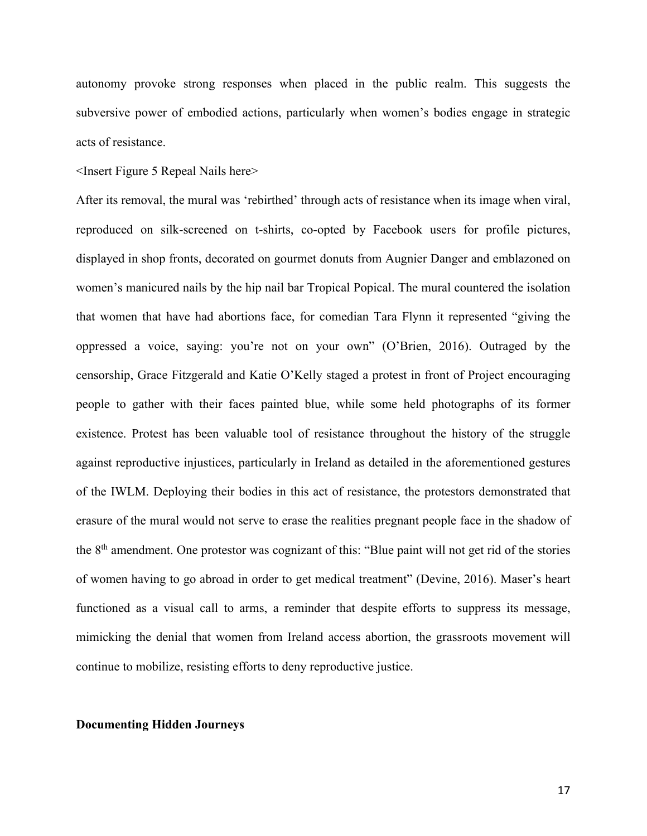autonomy provoke strong responses when placed in the public realm. This suggests the subversive power of embodied actions, particularly when women's bodies engage in strategic acts of resistance.

<Insert Figure 5 Repeal Nails here>

After its removal, the mural was 'rebirthed' through acts of resistance when its image when viral, reproduced on silk-screened on t-shirts, co-opted by Facebook users for profile pictures, displayed in shop fronts, decorated on gourmet donuts from Augnier Danger and emblazoned on women's manicured nails by the hip nail bar Tropical Popical. The mural countered the isolation that women that have had abortions face, for comedian Tara Flynn it represented "giving the oppressed a voice, saying: you're not on your own" (O'Brien, 2016). Outraged by the censorship, Grace Fitzgerald and Katie O'Kelly staged a protest in front of Project encouraging people to gather with their faces painted blue, while some held photographs of its former existence. Protest has been valuable tool of resistance throughout the history of the struggle against reproductive injustices, particularly in Ireland as detailed in the aforementioned gestures of the IWLM. Deploying their bodies in this act of resistance, the protestors demonstrated that erasure of the mural would not serve to erase the realities pregnant people face in the shadow of the 8<sup>th</sup> amendment. One protestor was cognizant of this: "Blue paint will not get rid of the stories of women having to go abroad in order to get medical treatment" (Devine, 2016). Maser's heart functioned as a visual call to arms, a reminder that despite efforts to suppress its message, mimicking the denial that women from Ireland access abortion, the grassroots movement will continue to mobilize, resisting efforts to deny reproductive justice.

## **Documenting Hidden Journeys**

17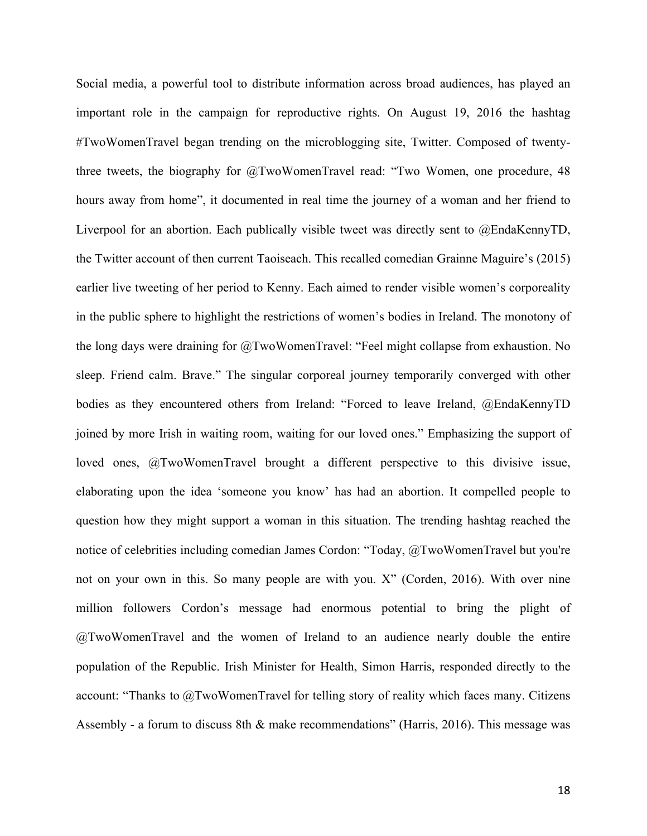Social media, a powerful tool to distribute information across broad audiences, has played an important role in the campaign for reproductive rights. On August 19, 2016 the hashtag #TwoWomenTravel began trending on the microblogging site, Twitter. Composed of twentythree tweets, the biography for @TwoWomenTravel read: "Two Women, one procedure, 48 hours away from home", it documented in real time the journey of a woman and her friend to Liverpool for an abortion. Each publically visible tweet was directly sent to @EndaKennyTD, the Twitter account of then current Taoiseach. This recalled comedian Grainne Maguire's (2015) earlier live tweeting of her period to Kenny. Each aimed to render visible women's corporeality in the public sphere to highlight the restrictions of women's bodies in Ireland. The monotony of the long days were draining for @TwoWomenTravel: "Feel might collapse from exhaustion. No sleep. Friend calm. Brave." The singular corporeal journey temporarily converged with other bodies as they encountered others from Ireland: "Forced to leave Ireland, @EndaKennyTD joined by more Irish in waiting room, waiting for our loved ones." Emphasizing the support of loved ones, @TwoWomenTravel brought a different perspective to this divisive issue, elaborating upon the idea 'someone you know' has had an abortion. It compelled people to question how they might support a woman in this situation. The trending hashtag reached the notice of celebrities including comedian James Cordon: "Today, @TwoWomenTravel but you're not on your own in this. So many people are with you. X" (Corden, 2016). With over nine million followers Cordon's message had enormous potential to bring the plight of @TwoWomenTravel and the women of Ireland to an audience nearly double the entire population of the Republic. Irish Minister for Health, Simon Harris, responded directly to the account: "Thanks to @TwoWomenTravel for telling story of reality which faces many. Citizens Assembly - a forum to discuss 8th & make recommendations" (Harris, 2016). This message was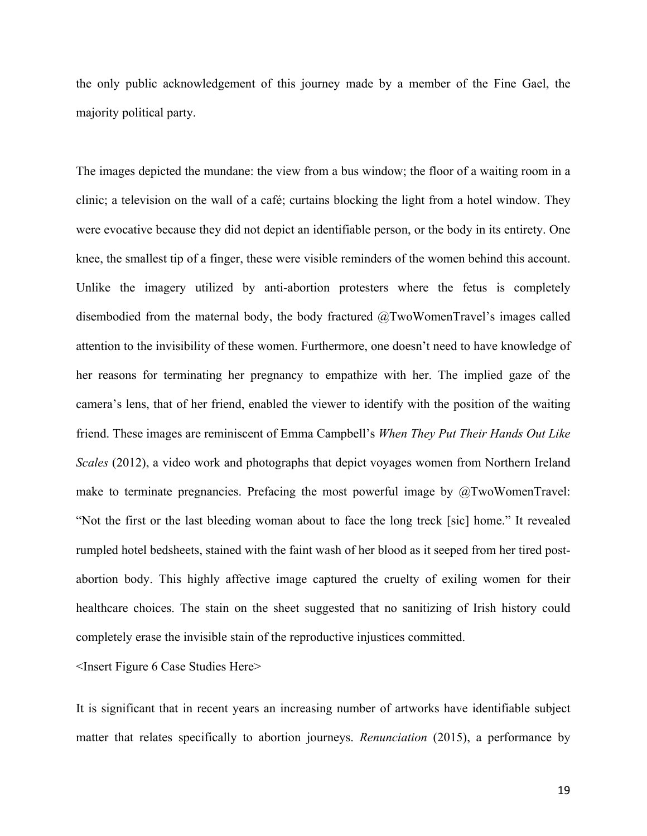the only public acknowledgement of this journey made by a member of the Fine Gael, the majority political party.

The images depicted the mundane: the view from a bus window; the floor of a waiting room in a clinic; a television on the wall of a café; curtains blocking the light from a hotel window. They were evocative because they did not depict an identifiable person, or the body in its entirety. One knee, the smallest tip of a finger, these were visible reminders of the women behind this account. Unlike the imagery utilized by anti-abortion protesters where the fetus is completely disembodied from the maternal body, the body fractured @TwoWomenTravel's images called attention to the invisibility of these women. Furthermore, one doesn't need to have knowledge of her reasons for terminating her pregnancy to empathize with her. The implied gaze of the camera's lens, that of her friend, enabled the viewer to identify with the position of the waiting friend. These images are reminiscent of Emma Campbell's *When They Put Their Hands Out Like Scales* (2012), a video work and photographs that depict voyages women from Northern Ireland make to terminate pregnancies. Prefacing the most powerful image by  $\omega$ TwoWomenTravel: "Not the first or the last bleeding woman about to face the long treck [sic] home." It revealed rumpled hotel bedsheets, stained with the faint wash of her blood as it seeped from her tired postabortion body. This highly affective image captured the cruelty of exiling women for their healthcare choices. The stain on the sheet suggested that no sanitizing of Irish history could completely erase the invisible stain of the reproductive injustices committed.

<Insert Figure 6 Case Studies Here>

It is significant that in recent years an increasing number of artworks have identifiable subject matter that relates specifically to abortion journeys. *Renunciation* (2015), a performance by

19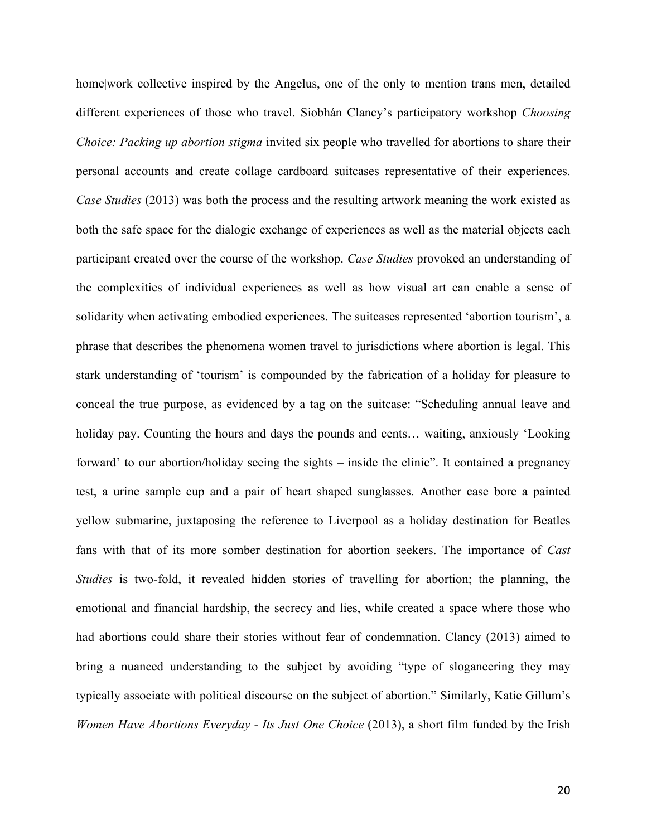home|work collective inspired by the Angelus, one of the only to mention trans men, detailed different experiences of those who travel. Siobhán Clancy's participatory workshop *Choosing Choice: Packing up abortion stigma* invited six people who travelled for abortions to share their personal accounts and create collage cardboard suitcases representative of their experiences. *Case Studies* (2013) was both the process and the resulting artwork meaning the work existed as both the safe space for the dialogic exchange of experiences as well as the material objects each participant created over the course of the workshop. *Case Studies* provoked an understanding of the complexities of individual experiences as well as how visual art can enable a sense of solidarity when activating embodied experiences. The suitcases represented 'abortion tourism', a phrase that describes the phenomena women travel to jurisdictions where abortion is legal. This stark understanding of 'tourism' is compounded by the fabrication of a holiday for pleasure to conceal the true purpose, as evidenced by a tag on the suitcase: "Scheduling annual leave and holiday pay. Counting the hours and days the pounds and cents… waiting, anxiously 'Looking forward' to our abortion/holiday seeing the sights – inside the clinic". It contained a pregnancy test, a urine sample cup and a pair of heart shaped sunglasses. Another case bore a painted yellow submarine, juxtaposing the reference to Liverpool as a holiday destination for Beatles fans with that of its more somber destination for abortion seekers. The importance of *Cast Studies* is two-fold, it revealed hidden stories of travelling for abortion; the planning, the emotional and financial hardship, the secrecy and lies, while created a space where those who had abortions could share their stories without fear of condemnation. Clancy (2013) aimed to bring a nuanced understanding to the subject by avoiding "type of sloganeering they may typically associate with political discourse on the subject of abortion." Similarly, Katie Gillum's *Women Have Abortions Everyday - Its Just One Choice* (2013), a short film funded by the Irish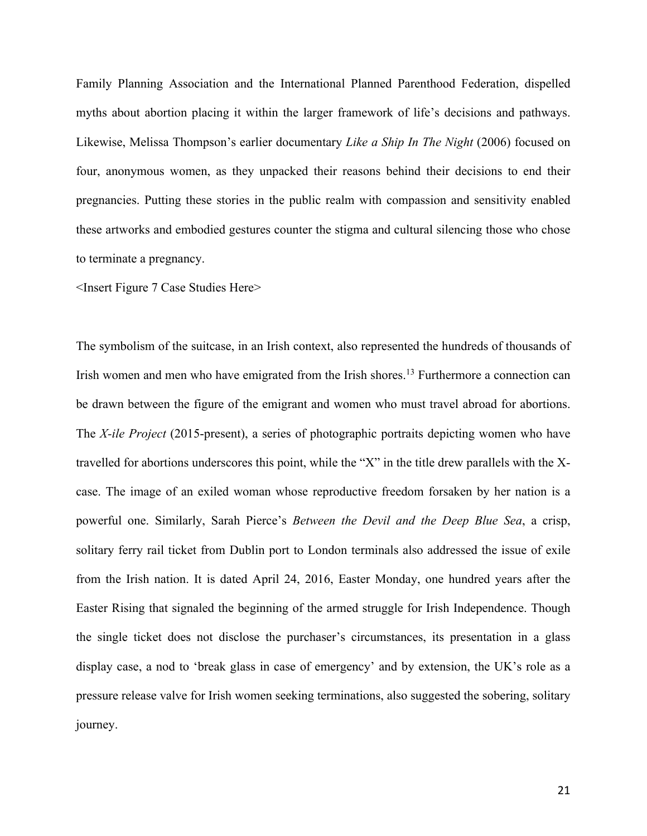Family Planning Association and the International Planned Parenthood Federation, dispelled myths about abortion placing it within the larger framework of life's decisions and pathways. Likewise, Melissa Thompson's earlier documentary *Like a Ship In The Night* (2006) focused on four, anonymous women, as they unpacked their reasons behind their decisions to end their pregnancies. Putting these stories in the public realm with compassion and sensitivity enabled these artworks and embodied gestures counter the stigma and cultural silencing those who chose to terminate a pregnancy.

<Insert Figure 7 Case Studies Here>

The symbolism of the suitcase, in an Irish context, also represented the hundreds of thousands of Irish women and men who have emigrated from the Irish shores.<sup>13</sup> Furthermore a connection can be drawn between the figure of the emigrant and women who must travel abroad for abortions. The *X-ile Project* (2015-present), a series of photographic portraits depicting women who have travelled for abortions underscores this point, while the "X" in the title drew parallels with the Xcase. The image of an exiled woman whose reproductive freedom forsaken by her nation is a powerful one. Similarly, Sarah Pierce's *Between the Devil and the Deep Blue Sea*, a crisp, solitary ferry rail ticket from Dublin port to London terminals also addressed the issue of exile from the Irish nation. It is dated April 24, 2016, Easter Monday, one hundred years after the Easter Rising that signaled the beginning of the armed struggle for Irish Independence. Though the single ticket does not disclose the purchaser's circumstances, its presentation in a glass display case, a nod to 'break glass in case of emergency' and by extension, the UK's role as a pressure release valve for Irish women seeking terminations, also suggested the sobering, solitary journey.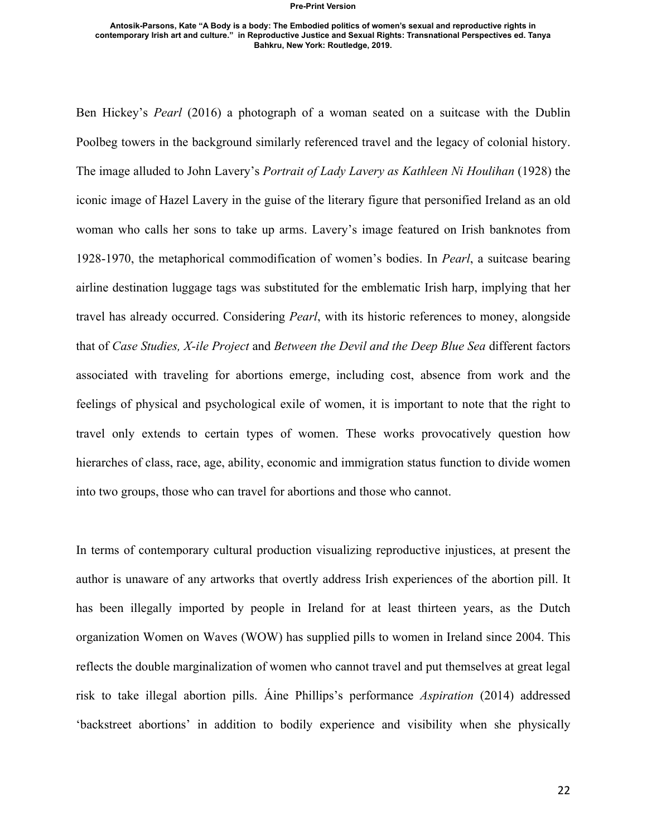#### **Pre-Print Version**

**Antosik-Parsons, Kate "A Body is a body: The Embodied politics of women's sexual and reproductive rights in contemporary Irish art and culture." in Reproductive Justice and Sexual Rights: Transnational Perspectives ed. Tanya Bahkru, New York: Routledge, 2019.** 

Ben Hickey's *Pearl* (2016) a photograph of a woman seated on a suitcase with the Dublin Poolbeg towers in the background similarly referenced travel and the legacy of colonial history. The image alluded to John Lavery's *Portrait of Lady Lavery as Kathleen Ni Houlihan* (1928) the iconic image of Hazel Lavery in the guise of the literary figure that personified Ireland as an old woman who calls her sons to take up arms. Lavery's image featured on Irish banknotes from 1928-1970, the metaphorical commodification of women's bodies. In *Pearl*, a suitcase bearing airline destination luggage tags was substituted for the emblematic Irish harp, implying that her travel has already occurred. Considering *Pearl*, with its historic references to money, alongside that of *Case Studies, X-ile Project* and *Between the Devil and the Deep Blue Sea* different factors associated with traveling for abortions emerge, including cost, absence from work and the feelings of physical and psychological exile of women, it is important to note that the right to travel only extends to certain types of women. These works provocatively question how hierarches of class, race, age, ability, economic and immigration status function to divide women into two groups, those who can travel for abortions and those who cannot.

In terms of contemporary cultural production visualizing reproductive injustices, at present the author is unaware of any artworks that overtly address Irish experiences of the abortion pill. It has been illegally imported by people in Ireland for at least thirteen years, as the Dutch organization Women on Waves (WOW) has supplied pills to women in Ireland since 2004. This reflects the double marginalization of women who cannot travel and put themselves at great legal risk to take illegal abortion pills. Áine Phillips's performance *Aspiration* (2014) addressed 'backstreet abortions' in addition to bodily experience and visibility when she physically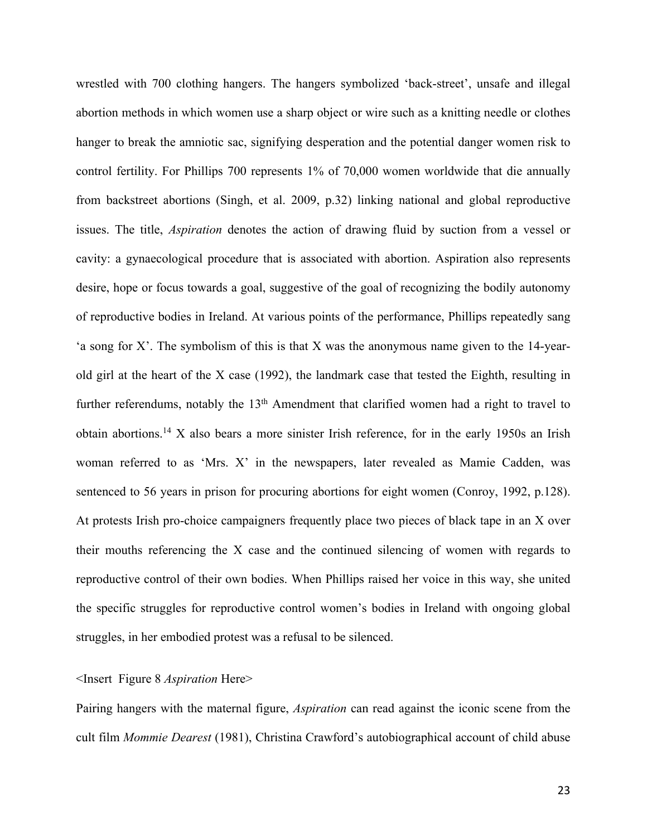wrestled with 700 clothing hangers. The hangers symbolized 'back-street', unsafe and illegal abortion methods in which women use a sharp object or wire such as a knitting needle or clothes hanger to break the amniotic sac, signifying desperation and the potential danger women risk to control fertility. For Phillips 700 represents 1% of 70,000 women worldwide that die annually from backstreet abortions (Singh, et al. 2009, p.32) linking national and global reproductive issues. The title, *Aspiration* denotes the action of drawing fluid by suction from a vessel or cavity: a gynaecological procedure that is associated with abortion. Aspiration also represents desire, hope or focus towards a goal, suggestive of the goal of recognizing the bodily autonomy of reproductive bodies in Ireland. At various points of the performance, Phillips repeatedly sang 'a song for X'. The symbolism of this is that X was the anonymous name given to the 14-yearold girl at the heart of the X case (1992), the landmark case that tested the Eighth, resulting in further referendums, notably the 13<sup>th</sup> Amendment that clarified women had a right to travel to obtain abortions. <sup>14</sup> X also bears a more sinister Irish reference, for in the early 1950s an Irish woman referred to as 'Mrs. X' in the newspapers, later revealed as Mamie Cadden, was sentenced to 56 years in prison for procuring abortions for eight women (Conroy, 1992, p.128). At protests Irish pro-choice campaigners frequently place two pieces of black tape in an X over their mouths referencing the X case and the continued silencing of women with regards to reproductive control of their own bodies. When Phillips raised her voice in this way, she united the specific struggles for reproductive control women's bodies in Ireland with ongoing global struggles, in her embodied protest was a refusal to be silenced.

# <Insert Figure 8 *Aspiration* Here>

Pairing hangers with the maternal figure, *Aspiration* can read against the iconic scene from the cult film *Mommie Dearest* (1981), Christina Crawford's autobiographical account of child abuse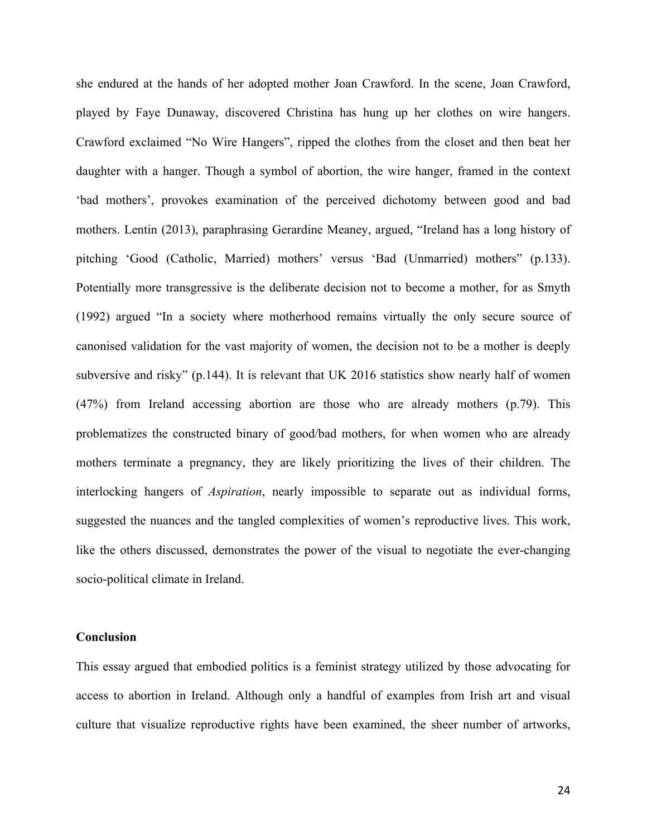she endured at the hands of her adopted mother Joan Crawford. In the scene, Joan Crawford, played by Faye Dunaway, discovered Christina has hung up her clothes on wire hangers. Crawford exclaimed "No Wire Hangers", ripped the clothes from the closet and then beat her daughter with a hanger. Though a symbol of abortion, the wire hanger, framed in the context 'bad mothers', provokes examination of the perceived dichotomy between good and bad mothers. Lentin (2013), paraphrasing Gerardine Meaney, argued, "Ireland has a long history of pitching 'Good (Catholic, Married) mothers' versus 'Bad (Unmarried) mothers" (p.133). Potentially more transgressive is the deliberate decision not to become a mother, for as Smyth (1992) argued "In a society where motherhood remains virtually the only secure source of canonised validation for the vast majority of women, the decision not to be a mother is deeply subversive and risky" (p.144). It is relevant that UK 2016 statistics show nearly half of women (47%) from Ireland accessing abortion are those who are already mothers (p.79). This problematizes the constructed binary of good/bad mothers, for when women who are already mothers terminate a pregnancy, they are likely prioritizing the lives of their children. The interlocking hangers of *Aspiration*, nearly impossible to separate out as individual forms, suggested the nuances and the tangled complexities of women's reproductive lives. This work, like the others discussed, demonstrates the power of the visual to negotiate the ever-changing socio-political climate in Ireland.

### **Conclusion**

This essay argued that embodied politics is a feminist strategy utilized by those advocating for access to abortion in Ireland. Although only a handful of examples from Irish art and visual culture that visualize reproductive rights have been examined, the sheer number of artworks,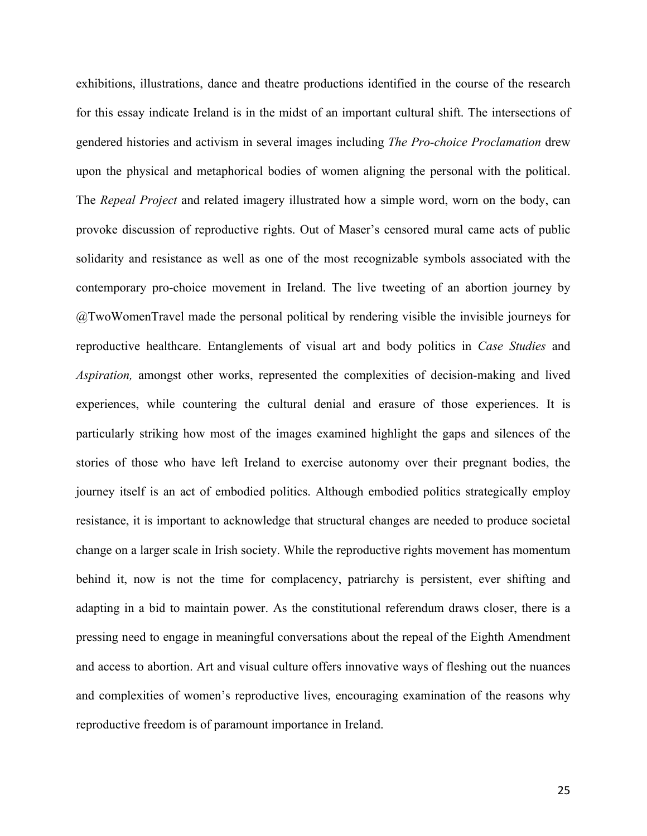exhibitions, illustrations, dance and theatre productions identified in the course of the research for this essay indicate Ireland is in the midst of an important cultural shift. The intersections of gendered histories and activism in several images including *The Pro-choice Proclamation* drew upon the physical and metaphorical bodies of women aligning the personal with the political. The *Repeal Project* and related imagery illustrated how a simple word, worn on the body, can provoke discussion of reproductive rights. Out of Maser's censored mural came acts of public solidarity and resistance as well as one of the most recognizable symbols associated with the contemporary pro-choice movement in Ireland. The live tweeting of an abortion journey by @TwoWomenTravel made the personal political by rendering visible the invisible journeys for reproductive healthcare. Entanglements of visual art and body politics in *Case Studies* and *Aspiration,* amongst other works, represented the complexities of decision-making and lived experiences, while countering the cultural denial and erasure of those experiences. It is particularly striking how most of the images examined highlight the gaps and silences of the stories of those who have left Ireland to exercise autonomy over their pregnant bodies, the journey itself is an act of embodied politics. Although embodied politics strategically employ resistance, it is important to acknowledge that structural changes are needed to produce societal change on a larger scale in Irish society. While the reproductive rights movement has momentum behind it, now is not the time for complacency, patriarchy is persistent, ever shifting and adapting in a bid to maintain power. As the constitutional referendum draws closer, there is a pressing need to engage in meaningful conversations about the repeal of the Eighth Amendment and access to abortion. Art and visual culture offers innovative ways of fleshing out the nuances and complexities of women's reproductive lives, encouraging examination of the reasons why reproductive freedom is of paramount importance in Ireland.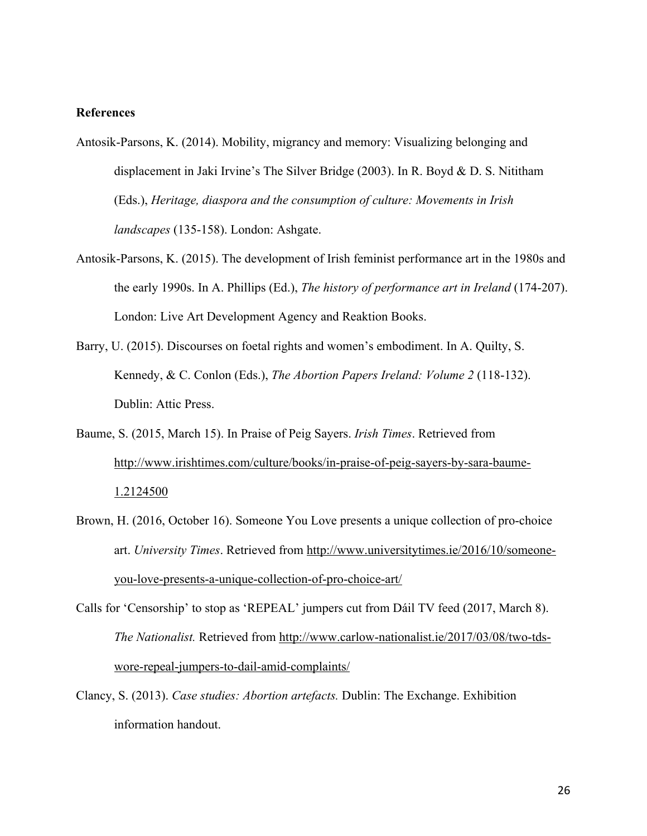# **References**

- Antosik-Parsons, K. (2014). Mobility, migrancy and memory: Visualizing belonging and displacement in Jaki Irvine's The Silver Bridge (2003). In R. Boyd & D. S. Nititham (Eds.), *Heritage, diaspora and the consumption of culture: Movements in Irish landscapes* (135-158). London: Ashgate.
- Antosik-Parsons, K. (2015). The development of Irish feminist performance art in the 1980s and the early 1990s. In A. Phillips (Ed.), *The history of performance art in Ireland* (174-207). London: Live Art Development Agency and Reaktion Books.
- Barry, U. (2015). Discourses on foetal rights and women's embodiment. In A. Quilty, S. Kennedy, & C. Conlon (Eds.), *The Abortion Papers Ireland: Volume 2* (118-132). Dublin: Attic Press.
- Baume, S. (2015, March 15). In Praise of Peig Sayers. *Irish Times*. Retrieved from http://www.irishtimes.com/culture/books/in-praise-of-peig-sayers-by-sara-baume-1.2124500
- Brown, H. (2016, October 16). Someone You Love presents a unique collection of pro-choice art. *University Times*. Retrieved from http://www.universitytimes.ie/2016/10/someoneyou-love-presents-a-unique-collection-of-pro-choice-art/
- Calls for 'Censorship' to stop as 'REPEAL' jumpers cut from Dáil TV feed (2017, March 8). *The Nationalist.* Retrieved from http://www.carlow-nationalist.ie/2017/03/08/two-tdswore-repeal-jumpers-to-dail-amid-complaints/
- Clancy, S. (2013). *Case studies: Abortion artefacts.* Dublin: The Exchange. Exhibition information handout.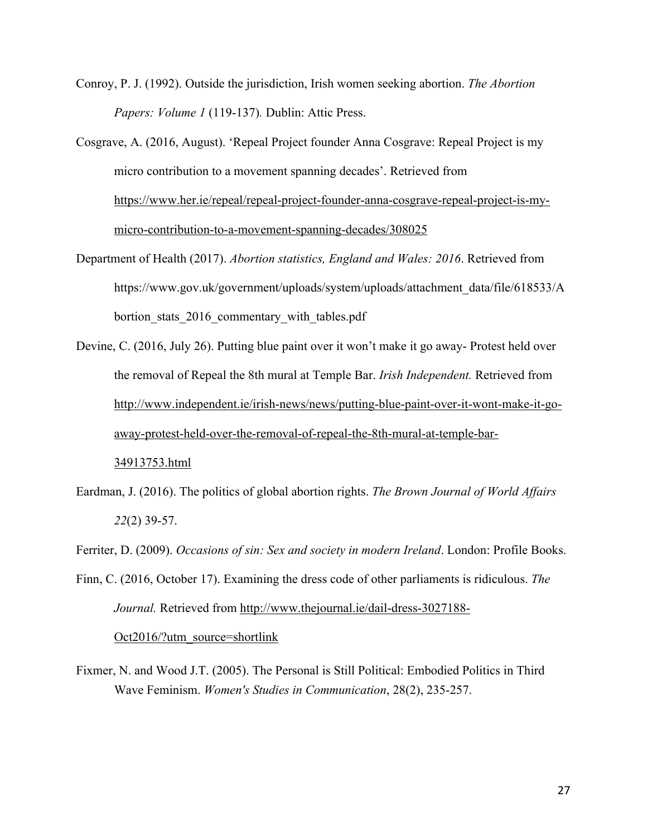- Conroy, P. J. (1992). Outside the jurisdiction, Irish women seeking abortion. *The Abortion Papers: Volume 1* (119-137)*.* Dublin: Attic Press.
- Cosgrave, A. (2016, August). 'Repeal Project founder Anna Cosgrave: Repeal Project is my micro contribution to a movement spanning decades'. Retrieved from https://www.her.ie/repeal/repeal-project-founder-anna-cosgrave-repeal-project-is-mymicro-contribution-to-a-movement-spanning-decades/308025
- Department of Health (2017). *Abortion statistics, England and Wales: 2016*. Retrieved from https://www.gov.uk/government/uploads/system/uploads/attachment\_data/file/618533/A bortion stats 2016 commentary with tables.pdf
- Devine, C. (2016, July 26). Putting blue paint over it won't make it go away- Protest held over the removal of Repeal the 8th mural at Temple Bar. *Irish Independent.* Retrieved from http://www.independent.ie/irish-news/news/putting-blue-paint-over-it-wont-make-it-goaway-protest-held-over-the-removal-of-repeal-the-8th-mural-at-temple-bar-34913753.html
- Eardman, J. (2016). The politics of global abortion rights. *The Brown Journal of World Affairs 22*(2) 39-57.

Ferriter, D. (2009). *Occasions of sin: Sex and society in modern Ireland*. London: Profile Books.

Finn, C. (2016, October 17). Examining the dress code of other parliaments is ridiculous. *The Journal.* Retrieved from http://www.thejournal.ie/dail-dress-3027188-

Oct2016/?utm\_source=shortlink

Fixmer, N. and Wood J.T. (2005). The Personal is Still Political: Embodied Politics in Third Wave Feminism. *Women's Studies in Communication*, 28(2), 235-257.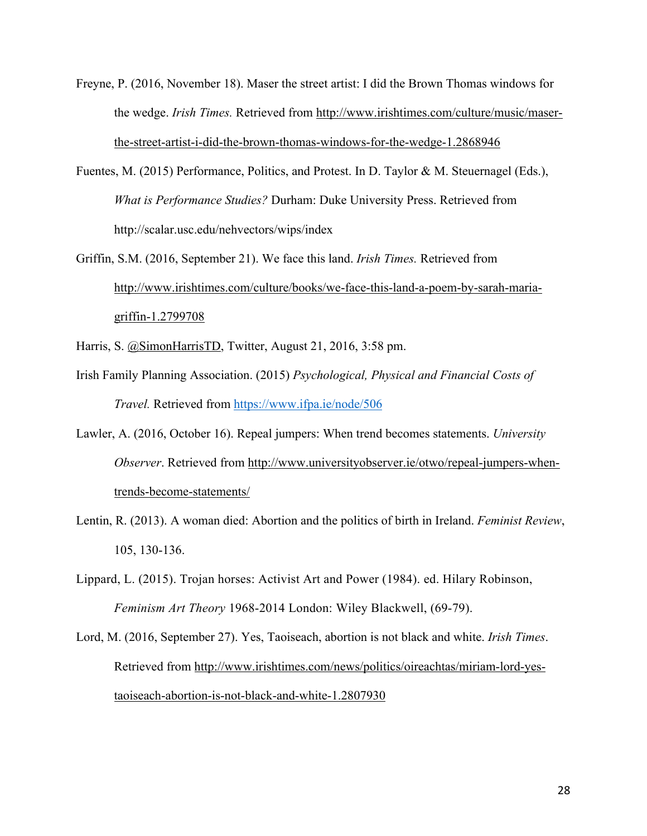- Freyne, P. (2016, November 18). Maser the street artist: I did the Brown Thomas windows for the wedge. *Irish Times.* Retrieved from http://www.irishtimes.com/culture/music/maserthe-street-artist-i-did-the-brown-thomas-windows-for-the-wedge-1.2868946
- Fuentes, M. (2015) Performance, Politics, and Protest. In D. Taylor & M. Steuernagel (Eds.), *What is Performance Studies?* Durham: Duke University Press. Retrieved from http://scalar.usc.edu/nehvectors/wips/index
- Griffin, S.M. (2016, September 21). We face this land. *Irish Times.* Retrieved from http://www.irishtimes.com/culture/books/we-face-this-land-a-poem-by-sarah-mariagriffin-1.2799708
- Harris, S. @SimonHarrisTD, Twitter, August 21, 2016, 3:58 pm.
- Irish Family Planning Association. (2015) *Psychological, Physical and Financial Costs of Travel.* Retrieved from https://www.ifpa.ie/node/506
- Lawler, A. (2016, October 16). Repeal jumpers: When trend becomes statements. *University Observer*. Retrieved from http://www.universityobserver.ie/otwo/repeal-jumpers-whentrends-become-statements/
- Lentin, R. (2013). A woman died: Abortion and the politics of birth in Ireland. *Feminist Review*, 105, 130-136.
- Lippard, L. (2015). Trojan horses: Activist Art and Power (1984). ed. Hilary Robinson, *Feminism Art Theory* 1968-2014 London: Wiley Blackwell, (69-79).
- Lord, M. (2016, September 27). Yes, Taoiseach, abortion is not black and white. *Irish Times*. Retrieved from http://www.irishtimes.com/news/politics/oireachtas/miriam-lord-yestaoiseach-abortion-is-not-black-and-white-1.2807930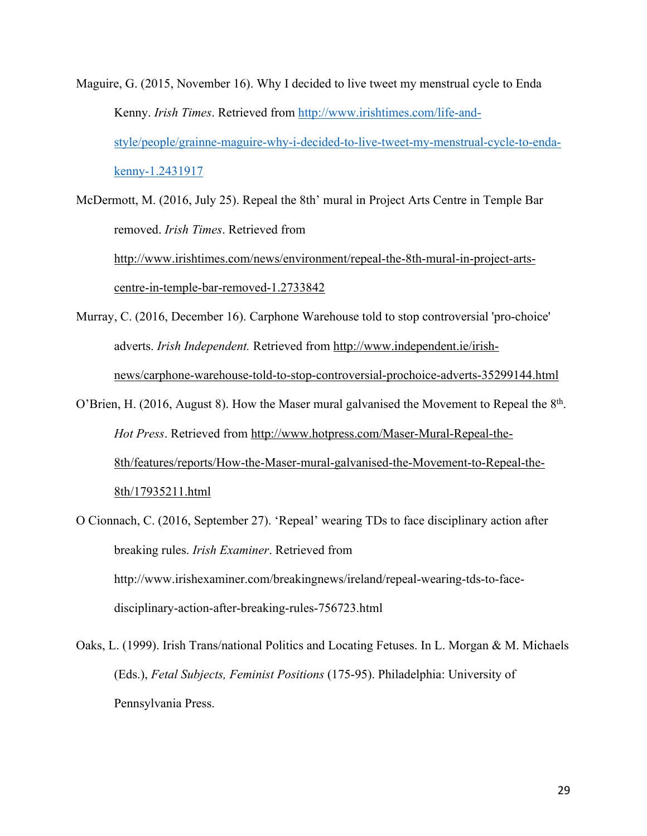Maguire, G. (2015, November 16). Why I decided to live tweet my menstrual cycle to Enda Kenny. *Irish Times*. Retrieved from http://www.irishtimes.com/life-andstyle/people/grainne-maguire-why-i-decided-to-live-tweet-my-menstrual-cycle-to-endakenny-1.2431917

McDermott, M. (2016, July 25). Repeal the 8th' mural in Project Arts Centre in Temple Bar removed. *Irish Times*. Retrieved from http://www.irishtimes.com/news/environment/repeal-the-8th-mural-in-project-artscentre-in-temple-bar-removed-1.2733842

- Murray, C. (2016, December 16). Carphone Warehouse told to stop controversial 'pro-choice' adverts. *Irish Independent.* Retrieved from http://www.independent.ie/irishnews/carphone-warehouse-told-to-stop-controversial-prochoice-adverts-35299144.html
- O'Brien, H. (2016, August 8). How the Maser mural galvanised the Movement to Repeal the 8th. *Hot Press*. Retrieved from http://www.hotpress.com/Maser-Mural-Repeal-the-8th/features/reports/How-the-Maser-mural-galvanised-the-Movement-to-Repeal-the-8th/17935211.html
- O Cionnach, C. (2016, September 27). 'Repeal' wearing TDs to face disciplinary action after breaking rules. *Irish Examiner*. Retrieved from http://www.irishexaminer.com/breakingnews/ireland/repeal-wearing-tds-to-facedisciplinary-action-after-breaking-rules-756723.html
- Oaks, L. (1999). Irish Trans/national Politics and Locating Fetuses. In L. Morgan & M. Michaels (Eds.), *Fetal Subjects, Feminist Positions* (175-95). Philadelphia: University of Pennsylvania Press.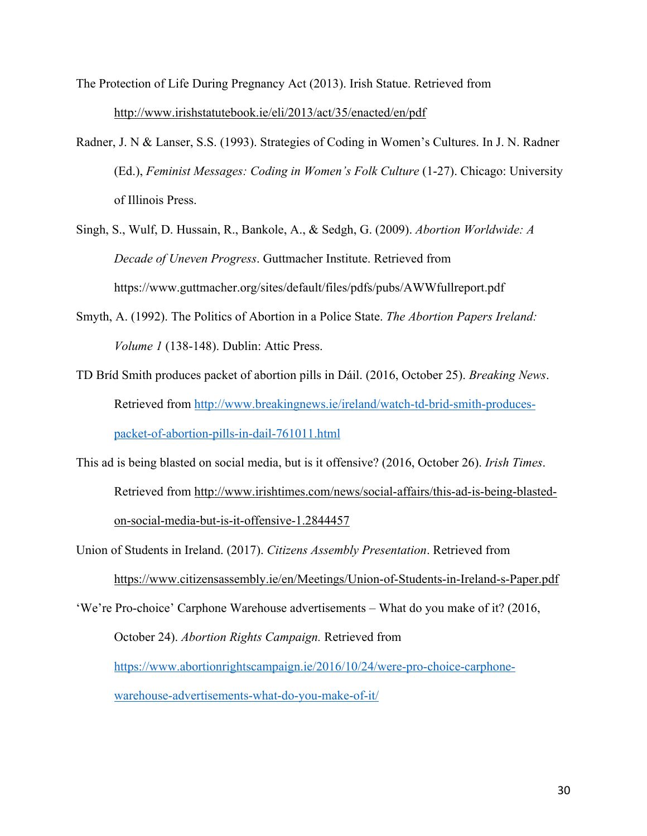The Protection of Life During Pregnancy Act (2013). Irish Statue. Retrieved from http://www.irishstatutebook.ie/eli/2013/act/35/enacted/en/pdf

- Radner, J. N & Lanser, S.S. (1993). Strategies of Coding in Women's Cultures. In J. N. Radner (Ed.), *Feminist Messages: Coding in Women's Folk Culture* (1-27). Chicago: University of Illinois Press.
- Singh, S., Wulf, D. Hussain, R., Bankole, A., & Sedgh, G. (2009). *Abortion Worldwide: A Decade of Uneven Progress*. Guttmacher Institute. Retrieved from https://www.guttmacher.org/sites/default/files/pdfs/pubs/AWWfullreport.pdf
- Smyth, A. (1992). The Politics of Abortion in a Police State. *The Abortion Papers Ireland: Volume 1* (138-148). Dublin: Attic Press.
- TD Bríd Smith produces packet of abortion pills in Dáil. (2016, October 25). *Breaking News*. Retrieved from http://www.breakingnews.ie/ireland/watch-td-brid-smith-producespacket-of-abortion-pills-in-dail-761011.html
- This ad is being blasted on social media, but is it offensive? (2016, October 26). *Irish Times*. Retrieved from http://www.irishtimes.com/news/social-affairs/this-ad-is-being-blastedon-social-media-but-is-it-offensive-1.2844457
- Union of Students in Ireland. (2017). *Citizens Assembly Presentation*. Retrieved from https://www.citizensassembly.ie/en/Meetings/Union-of-Students-in-Ireland-s-Paper.pdf 'We're Pro-choice' Carphone Warehouse advertisements – What do you make of it? (2016, October 24). *Abortion Rights Campaign.* Retrieved from https://www.abortionrightscampaign.ie/2016/10/24/were-pro-choice-carphone-

warehouse-advertisements-what-do-you-make-of-it/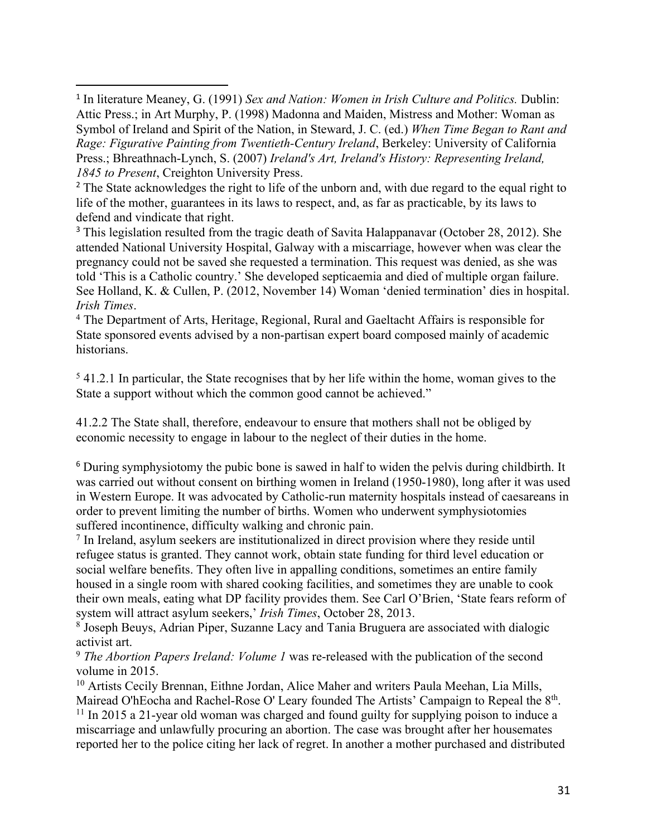<sup>2</sup> The State acknowledges the right to life of the unborn and, with due regard to the equal right to life of the mother, guarantees in its laws to respect, and, as far as practicable, by its laws to defend and vindicate that right.

<sup>3</sup> This legislation resulted from the tragic death of Savita Halappanavar (October 28, 2012). She attended National University Hospital, Galway with a miscarriage, however when was clear the pregnancy could not be saved she requested a termination. This request was denied, as she was told 'This is a Catholic country.' She developed septicaemia and died of multiple organ failure. See Holland, K. & Cullen, P. (2012, November 14) Woman 'denied termination' dies in hospital. *Irish Times*.<br><sup>4</sup> The Department of Arts, Heritage, Regional, Rural and Gaeltacht Affairs is responsible for

State sponsored events advised by a non-partisan expert board composed mainly of academic historians.

<sup>5</sup> 41.2.1 In particular, the State recognises that by her life within the home, woman gives to the State a support without which the common good cannot be achieved."

41.2.2 The State shall, therefore, endeavour to ensure that mothers shall not be obliged by economic necessity to engage in labour to the neglect of their duties in the home.

<sup>6</sup> During symphysiotomy the pubic bone is sawed in half to widen the pelvis during childbirth. It was carried out without consent on birthing women in Ireland (1950-1980), long after it was used in Western Europe. It was advocated by Catholic-run maternity hospitals instead of caesareans in order to prevent limiting the number of births. Women who underwent symphysiotomies suffered incontinence, difficulty walking and chronic pain.

<sup>7</sup> In Ireland, asylum seekers are institutionalized in direct provision where they reside until refugee status is granted. They cannot work, obtain state funding for third level education or social welfare benefits. They often live in appalling conditions, sometimes an entire family housed in a single room with shared cooking facilities, and sometimes they are unable to cook their own meals, eating what DP facility provides them. See Carl O'Brien, 'State fears reform of system will attract asylum seekers,' *Irish Times*, October 28, 2013.

<sup>8</sup> Joseph Beuys, Adrian Piper, Suzanne Lacy and Tania Bruguera are associated with dialogic activist art.

<sup>9</sup> *The Abortion Papers Ireland: Volume 1* was re-released with the publication of the second volume in 2015.

<sup>10</sup> Artists Cecily Brennan, Eithne Jordan, Alice Maher and writers Paula Meehan, Lia Mills, Mairead O'hEocha and Rachel-Rose O' Leary founded The Artists' Campaign to Repeal the 8<sup>th</sup>.  $11$  In 2015 a 21-year old woman was charged and found guilty for supplying poison to induce a miscarriage and unlawfully procuring an abortion. The case was brought after her housemates reported her to the police citing her lack of regret. In another a mother purchased and distributed

<sup>1</sup> In literature Meaney, G. (1991) *Sex and Nation: Women in Irish Culture and Politics.* Dublin: Attic Press.; in Art Murphy, P. (1998) Madonna and Maiden, Mistress and Mother: Woman as Symbol of Ireland and Spirit of the Nation, in Steward, J. C. (ed.) *When Time Began to Rant and Rage: Figurative Painting from Twentieth-Century Ireland*, Berkeley: University of California Press.; Bhreathnach-Lynch, S. (2007) *Ireland's Art, Ireland's History: Representing Ireland, 1845 to Present*, Creighton University Press.